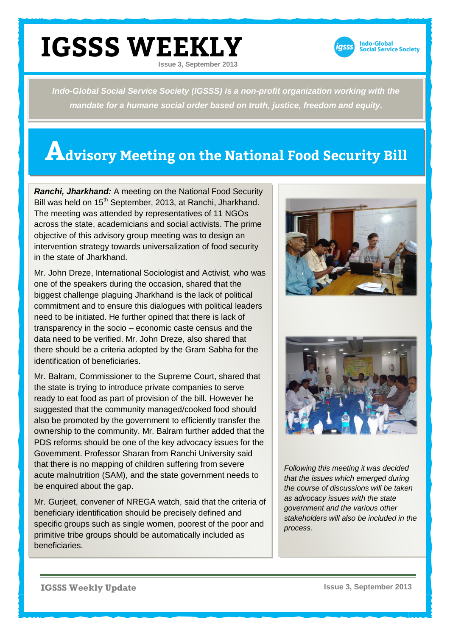

*Indo-Global Social Service Society (IGSSS) is a non-profit organization working with the mandate for a humane social order based on truth, justice, freedom and equity.*

## **Advisory Meeting on the National Food Security Bill**

*Ranchi, Jharkhand:* A meeting on the National Food Security Bill was held on 15<sup>th</sup> September, 2013, at Ranchi, Jharkhand. The meeting was attended by representatives of 11 NGOs across the state, academicians and social activists. The prime objective of this advisory group meeting was to design an intervention strategy towards universalization of food security in the state of Jharkhand.

Mr. John Dreze, International Sociologist and Activist, who was one of the speakers during the occasion, shared that the biggest challenge plaguing Jharkhand is the lack of political commitment and to ensure this dialogues with political leaders need to be initiated. He further opined that there is lack of transparency in the socio – economic caste census and the data need to be verified. Mr. John Dreze, also shared that there should be a criteria adopted by the Gram Sabha for the identification of beneficiaries.

Mr. Balram, Commissioner to the Supreme Court, shared that the state is trying to introduce private companies to serve ready to eat food as part of provision of the bill. However he suggested that the community managed/cooked food should also be promoted by the government to efficiently transfer the ownership to the community. Mr. Balram further added that the PDS reforms should be one of the key advocacy issues for the Government. Professor Sharan from Ranchi University said that there is no mapping of children suffering from severe acute malnutrition (SAM), and the state government needs to be enquired about the gap.

Mr. Gurjeet, convener of NREGA watch, said that the criteria of beneficiary identification should be precisely defined and specific groups such as single women, poorest of the poor and primitive tribe groups should be automatically included as beneficiaries.





*Following this meeting it was decided that the issues which emerged during the course of discussions will be taken as advocacy issues with the state government and the various other stakeholders will also be included in the process.*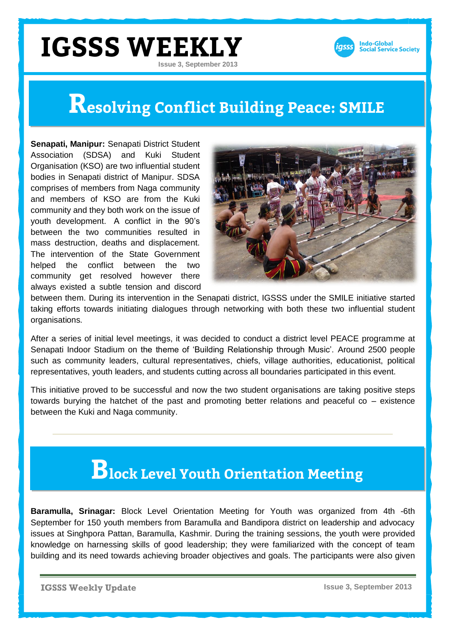

## **Resolving Conflict Building Peace: SMILE**

**Senapati, Manipur:** Senapati District Student Association (SDSA) and Kuki Student Organisation (KSO) are two influential student bodies in Senapati district of Manipur. SDSA comprises of members from Naga community and members of KSO are from the Kuki community and they both work on the issue of youth development. A conflict in the 90's between the two communities resulted in mass destruction, deaths and displacement. The intervention of the State Government helped the conflict between the two community get resolved however there always existed a subtle tension and discord



between them. During its intervention in the Senapati district, IGSSS under the SMILE initiative started taking efforts towards initiating dialogues through networking with both these two influential student organisations.

After a series of initial level meetings, it was decided to conduct a district level PEACE programme at Senapati Indoor Stadium on the theme of 'Building Relationship through Music'. Around 2500 people such as community leaders, cultural representatives, chiefs, village authorities, educationist, political representatives, youth leaders, and students cutting across all boundaries participated in this event.

This initiative proved to be successful and now the two student organisations are taking positive steps towards burying the hatchet of the past and promoting better relations and peaceful co – existence between the Kuki and Naga community.

## **Block Level Youth Orientation Meeting**

**Baramulla, Srinagar:** Block Level Orientation Meeting for Youth was organized from 4th -6th September for 150 youth members from Baramulla and Bandipora district on leadership and advocacy issues at Singhpora Pattan, Baramulla, Kashmir. During the training sessions, the youth were provided knowledge on harnessing skills of good leadership; they were familiarized with the concept of team building and its need towards achieving broader objectives and goals. The participants were also given

**IGSSS Weekly Update**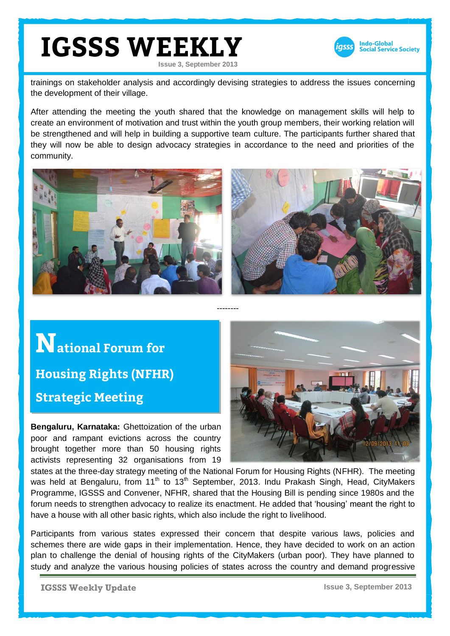

trainings on stakeholder analysis and accordingly devising strategies to address the issues concerning the development of their village.

After attending the meeting the youth shared that the knowledge on management skills will help to create an environment of motivation and trust within the youth group members, their working relation will be strengthened and will help in building a supportive team culture. The participants further shared that they will now be able to design advocacy strategies in accordance to the need and priorities of the community.



--------

**National Forum for Housing Rights (NFHR) Strategic Meeting**

**Bengaluru, Karnataka:** Ghettoization of the urban poor and rampant evictions across the country brought together more than 50 housing rights activists representing 32 organisations from 19



states at the three-day strategy meeting of the National Forum for Housing Rights (NFHR). The meeting was held at Bengaluru, from  $11<sup>th</sup>$  to  $13<sup>th</sup>$  September, 2013. Indu Prakash Singh, Head, CityMakers Programme, IGSSS and Convener, NFHR, shared that the Housing Bill is pending since 1980s and the forum needs to strengthen advocacy to realize its enactment. He added that 'housing' meant the right to have a house with all other basic rights, which also include the right to livelihood.

Participants from various states expressed their concern that despite various laws, policies and schemes there are wide gaps in their implementation. Hence, they have decided to work on an action plan to challenge the denial of housing rights of the CityMakers (urban poor). They have planned to study and analyze the various housing policies of states across the country and demand progressive

**IGSSS Weekly Update**